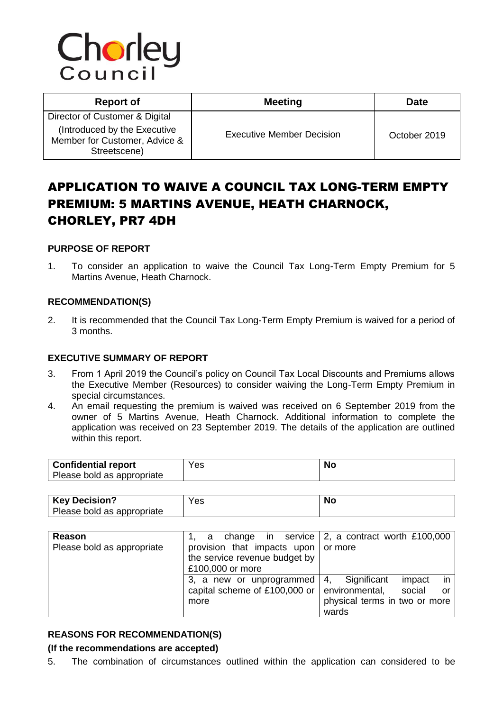# Chorley

| <b>Report of</b>                                                                                                | <b>Meeting</b>                   | <b>Date</b>  |
|-----------------------------------------------------------------------------------------------------------------|----------------------------------|--------------|
| Director of Customer & Digital<br>(Introduced by the Executive<br>Member for Customer, Advice &<br>Streetscene) | <b>Executive Member Decision</b> | October 2019 |

# APPLICATION TO WAIVE A COUNCIL TAX LONG-TERM EMPTY PREMIUM: 5 MARTINS AVENUE, HEATH CHARNOCK, CHORLEY, PR7 4DH

### **PURPOSE OF REPORT**

1. To consider an application to waive the Council Tax Long-Term Empty Premium for 5 Martins Avenue, Heath Charnock.

#### **RECOMMENDATION(S)**

2. It is recommended that the Council Tax Long-Term Empty Premium is waived for a period of 3 months.

#### **EXECUTIVE SUMMARY OF REPORT**

- 3. From 1 April 2019 the Council's policy on Council Tax Local Discounts and Premiums allows the Executive Member (Resources) to consider waiving the Long-Term Empty Premium in special circumstances.
- 4. An email requesting the premium is waived was received on 6 September 2019 from the owner of 5 Martins Avenue, Heath Charnock. Additional information to complete the application was received on 23 September 2019. The details of the application are outlined within this report.

| Confidential report        | Yes. | NC |
|----------------------------|------|----|
| Please bold as appropriate |      |    |

| <b>Key Decision?</b>       | Yes                           | <b>No</b>                         |
|----------------------------|-------------------------------|-----------------------------------|
| Please bold as appropriate |                               |                                   |
|                            |                               |                                   |
| Reason                     | change in service<br>а        | 2, a contract worth £100,000      |
| Please bold as appropriate | provision that impacts upon   | or more                           |
|                            | the service revenue budget by |                                   |
|                            | £100,000 or more              |                                   |
|                            | 3, a new or unprogrammed      | in<br>Significant<br>4,<br>impact |
|                            | capital scheme of £100,000 or | environmental,<br>social<br>or    |
|                            | more                          | physical terms in two or more     |
|                            |                               | wards                             |

# **REASONS FOR RECOMMENDATION(S)**

#### **(If the recommendations are accepted)**

5. The combination of circumstances outlined within the application can considered to be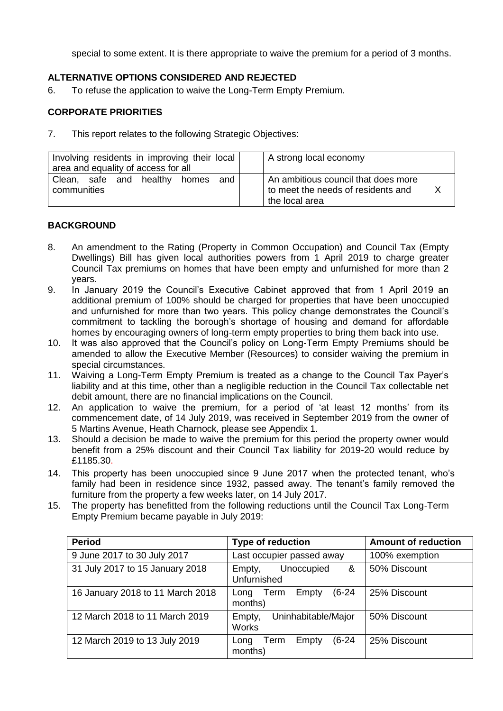special to some extent. It is there appropriate to waive the premium for a period of 3 months.

# **ALTERNATIVE OPTIONS CONSIDERED AND REJECTED**

6. To refuse the application to waive the Long-Term Empty Premium.

# **CORPORATE PRIORITIES**

7. This report relates to the following Strategic Objectives:

| Involving residents in improving their local<br>area and equality of access for all | A strong local economy                                                                        |  |
|-------------------------------------------------------------------------------------|-----------------------------------------------------------------------------------------------|--|
| Clean, safe and healthy<br>and<br>homes<br>communities                              | An ambitious council that does more<br>I to meet the needs of residents and<br>the local area |  |

### **BACKGROUND**

- 8. An amendment to the Rating (Property in Common Occupation) and Council Tax (Empty Dwellings) Bill has given local authorities powers from 1 April 2019 to charge greater Council Tax premiums on homes that have been empty and unfurnished for more than 2 years.
- 9. In January 2019 the Council's Executive Cabinet approved that from 1 April 2019 an additional premium of 100% should be charged for properties that have been unoccupied and unfurnished for more than two years. This policy change demonstrates the Council's commitment to tackling the borough's shortage of housing and demand for affordable homes by encouraging owners of long-term empty properties to bring them back into use.
- 10. It was also approved that the Council's policy on Long-Term Empty Premiums should be amended to allow the Executive Member (Resources) to consider waiving the premium in special circumstances.
- 11. Waiving a Long-Term Empty Premium is treated as a change to the Council Tax Payer's liability and at this time, other than a negligible reduction in the Council Tax collectable net debit amount, there are no financial implications on the Council.
- 12. An application to waive the premium, for a period of 'at least 12 months' from its commencement date, of 14 July 2019, was received in September 2019 from the owner of 5 Martins Avenue, Heath Charnock, please see Appendix 1.
- 13. Should a decision be made to waive the premium for this period the property owner would benefit from a 25% discount and their Council Tax liability for 2019-20 would reduce by £1185.30.
- 14. This property has been unoccupied since 9 June 2017 when the protected tenant, who's family had been in residence since 1932, passed away. The tenant's family removed the furniture from the property a few weeks later, on 14 July 2017.
- 15. The property has benefitted from the following reductions until the Council Tax Long-Term Empty Premium became payable in July 2019:

| <b>Period</b>                    | <b>Type of reduction</b>                     | <b>Amount of reduction</b> |
|----------------------------------|----------------------------------------------|----------------------------|
| 9 June 2017 to 30 July 2017      | Last occupier passed away                    | 100% exemption             |
| 31 July 2017 to 15 January 2018  | Unoccupied<br>&<br>Empty,<br>Unfurnished     | 50% Discount               |
| 16 January 2018 to 11 March 2018 | $(6-24)$<br>Empty<br>Term<br>Long<br>months) | 25% Discount               |
| 12 March 2018 to 11 March 2019   | Uninhabitable/Major<br>Empty,<br>Works       | 50% Discount               |
| 12 March 2019 to 13 July 2019    | $(6-24)$<br>Empty<br>Term<br>Long<br>months) | 25% Discount               |